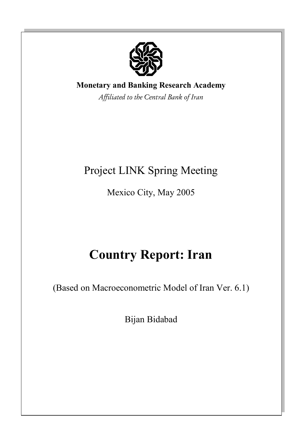

# **Monetary and Banking Research Academy**

*Affiliated to the Central Bank of Iran*

# Project LINK Spring Meeting

Mexico City, May 2005

# **Country Report: Iran**

(Based on Macroeconometric Model of Iran Ver. 6.1)

Bijan Bidabad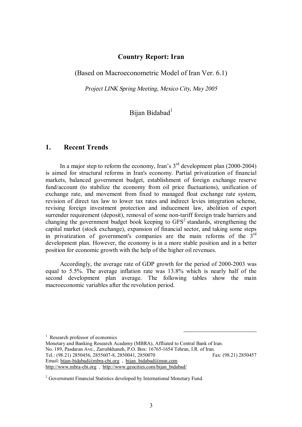## **Country Report: Iran**

(Based on Macroeconometric Model of Iran Ver. 6.1)

*Project LINK Spring Meeting, Mexico City, May 2005* 

# Bijan Bidabad<sup>1</sup>

# **1. Recent Trends**

In a major step to reform the economy, Iran's  $3<sup>rd</sup>$  development plan (2000-2004) is aimed for structural reforms in Iran's economy. Partial privatization of financial markets, balanced government budget, establishment of foreign exchange reserve fund/account (to stabilize the economy from oil price fluctuations), unification of exchange rate, and movement from fixed to managed float exchange rate system, revision of direct tax law to lower tax rates and indirect levies integration scheme, revising foreign investment protection and inducement law, abolition of export surrender requirement (deposit), removal of some non-tariff foreign trade barriers and changing the government budget book keeping to  $GFS<sup>2</sup>$  standards, strengthening the capital market (stock exchange), expansion of financial sector, and taking some steps in privatization of government's companies are the main reforms of the  $3<sup>rd</sup>$ development plan. However, the economy is in a more stable position and in a better position for economic growth with the help of the higher oil revenues.

Accordingly, the average rate of GDP growth for the period of 2000-2003 was equal to 5.5%. The average inflation rate was 13.8% which is nearly half of the second development plan average. The following tables show the main macroeconomic variables after the revolution period.

<sup>1</sup> Research professor of economics

Monetary and Banking Research Academy (MBRA), Affliated to Central Bank of Iran. No. 189, Pasdaran Ave., Zarrabkhaneh, P.O. Box: 16765-1654 Tehran, I.R. of Iran. Tel.: (98.21) 2850456, 2855607-8, 2850041, 2850070 Fax: (98.21) 2850457 Email: [bijan-bidabad@mbra-cbi.org](mailto:bijan-bidabad@mbra-cbi.org) , [bijan\\_bidabad@msn.com](mailto:bijan_bidabad@msn.com)  <http://www.mbra-cbi.org> , [http://www.geocities.com/bijan\\_bidabad/](http://www.geocities.com/bijan_bidabad/)

<sup>&</sup>lt;sup>2</sup> Government Financial Statistics developed by International Monetary Fund.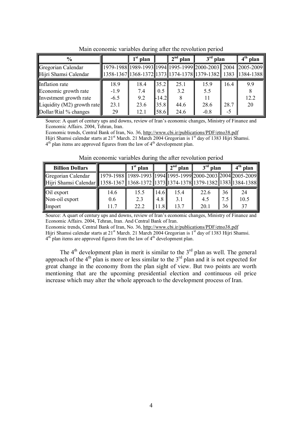| $\frac{6}{6}$              |        | $1st$ plan | $2nd$ plan |      | $3rd$ plan |      | $4th$ plan                                                          |
|----------------------------|--------|------------|------------|------|------------|------|---------------------------------------------------------------------|
| Gregorian Calendar         |        |            |            |      |            |      | 1979-1988 1989-1993 1994 1995-1999 2000-2003 2004 2005-2009         |
| Hijri Shamsi Calendar      |        |            |            |      |            |      | 1358-1367  1368-1372  1373  1374-1378  1379-1382   1383   1384-1388 |
| Inflation rate             | 18.9   | 18.4       | 35.2       | 25.1 | 15.9       | 16.4 | 9.9                                                                 |
| Economic growth rate       | $-1.9$ | 7.4        | 0.5        | 3.2  | 5.5        |      | 8                                                                   |
| Investment growth rate     | $-6.5$ | 9.2        | $-14.2$    |      | 11         |      | 12.2                                                                |
| Liquidity (M2) growth rate | 23.1   | 23.6       | 35.8       | 44.6 | 28.6       | 28.7 | 20                                                                  |
| Dollar/Rial % changes      | 29     | 12.1       | 58.6       | 24.6 | $-0.8$     | -5   |                                                                     |

Main economic variables during after the revolution period

Source: A quart of century ups and downs, review of Iran's economic changes, Ministry of Finance and Economic Affairs. 2004, Tehran, Iran.

Economic trends, Central Bank of Iran, No. 36,<http://www.cbi.ir/publications/PDF/etno38.pdf> Hijri Shamsi calendar starts at 21<sup>st</sup> March. 21 March 2004 Gregorian is 1<sup>st</sup> day of 1383 Hijri Shamsi.  $4<sup>th</sup>$  plan items are approved figures from the law of  $4<sup>th</sup>$  development plan.

| <b>Billion Dollars</b>                                                                          |                                                                               | $1st$ plan |      | $2nd$ plan | $3rd$ plan |                 | $4th$ plan |
|-------------------------------------------------------------------------------------------------|-------------------------------------------------------------------------------|------------|------|------------|------------|-----------------|------------|
| Gregorian Calendar                                                                              | 1979-1988    1989-1993    1994    1995-1999    2000-2003    2004    2005-2009 |            |      |            |            |                 |            |
| Hijri Shamsi Calendar   1358-1367   1368-1372   1373   1374-1378   1379-1382   1383   1384-1388 |                                                                               |            |      |            |            |                 |            |
| <b>Oil</b> export                                                                               | 14.6                                                                          | 15.5       | 14.6 | 15.4       | 22.6       | 36 <sup>°</sup> | 24         |
| Non-oil export                                                                                  | 0.6                                                                           | 2.3        | 4.8  | 3.1        | 4.5        | 7.5             | 10.5       |
| Import                                                                                          | 11.7                                                                          | 22.2       | 11.8 | 13.7       | 20.1       | 36              | 37         |

Main economic variables during the after revolution period

Source: A quart of century ups and downs, review of Iran's economic changes, Ministry of Finance and Economic Affairs. 2004, Tehran, Iran. And Central Bank of Iran.

Economic trends, Central Bank of Iran, No. 36,<http://www.cbi.ir/publications/PDF/etno38.pdf>

Hijri Shamsi calendar starts at 21<sup>st</sup> March. 21 March 2004 Gregorian is 1<sup>st</sup> day of 1383 Hijri Shamsi.  $4<sup>th</sup>$  plan items are approved figures from the law of  $4<sup>th</sup>$  development plan.

The  $4<sup>th</sup>$  development plan in merit is similar to the  $3<sup>rd</sup>$  plan as well. The general approach of the  $4<sup>th</sup>$  plan is more or less similar to the  $3<sup>rd</sup>$  plan and it is not expected for great change in the economy from the plan sight of view. But two points are worth mentioning that are the upcoming presidential election and continuous oil price increase which may alter the whole approach to the development process of Iran.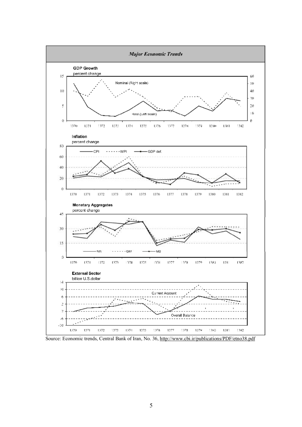

Source: Economic trends, Central Bank of Iran, No. 36, <http://www.cbi.ir/publications/PDF/etno38.pdf>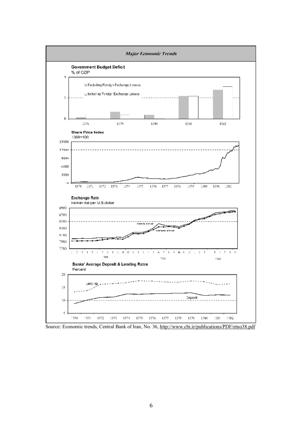

Source: Economic trends, Central Bank of Iran, No. 36, <http://www.cbi.ir/publications/PDF/etno38.pdf>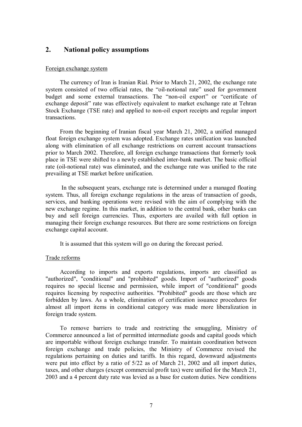# **2. National policy assumptions**

#### Foreign exchange system

The currency of Iran is Iranian Rial. Prior to March 21, 2002, the exchange rate system consisted of two official rates, the "oil-notional rate" used for government budget and some external transactions. The "non-oil export" or "certificate of exchange deposit" rate was effectively equivalent to market exchange rate at Tehran Stock Exchange (TSE rate) and applied to non-oil export receipts and regular import transactions.

From the beginning of Iranian fiscal year March 21, 2002, a unified managed float foreign exchange system was adopted. Exchange rates unification was launched along with elimination of all exchange restrictions on current account transactions prior to March 2002. Therefore, all foreign exchange transactions that formerly took place in TSE were shifted to a newly established inter-bank market. The basic official rate (oil-notional rate) was eliminated, and the exchange rate was unified to the rate prevailing at TSE market before unification.

In the subsequent years, exchange rate is determined under a managed floating system. Thus, all foreign exchange regulations in the areas of transaction of goods, services, and banking operations were revised with the aim of complying with the new exchange regime. In this market, in addition to the central bank, other banks can buy and sell foreign currencies. Thus, exporters are availed with full option in managing their foreign exchange resources. But there are some restrictions on foreign exchange capital account.

It is assumed that this system will go on during the forecast period.

#### Trade reforms

According to imports and exports regulations, imports are classified as "authorized", "conditional" and "prohibited" goods. Import of "authorized" goods requires no special license and permission, while import of "conditional" goods requires licensing by respective authorities. "Prohibited" goods are those which are forbidden by laws. As a whole, elimination of certification issuance procedures for almost all import items in conditional category was made more liberalization in foreign trade system.

To remove barriers to trade and restricting the smuggling, Ministry of Commerce announced a list of permitted intermediate goods and capital goods which are importable without foreign exchange transfer. To maintain coordination between foreign exchange and trade policies, the Ministry of Commerce revised the regulations pertaining on duties and tariffs. In this regard, downward adjustments were put into effect by a ratio of 5/22 as of March 21, 2002 and all import duties, taxes, and other charges (except commercial profit tax) were unified for the March 21, 2003 and a 4 percent duty rate was levied as a base for custom duties. New conditions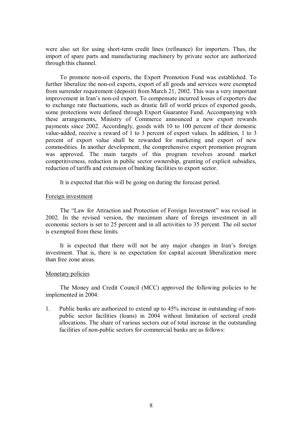were also set for using short-term credit lines (refinance) for importers. Thus, the import of spare parts and manufacturing machinery by private sector are authorized through this channel.

To promote non-oil exports, the Export Promotion Fund was established. To further liberalize the non-oil exports, export of all goods and services were exempted from surrender requirement (deposit) from March 21, 2002. This was a very important improvement in Iran's non-oil export. To compensate incurred losses of exporters due to exchange rate fluctuations, such as drastic fall of world prices of exported goods, some protections were defined through Export Guarantee Fund. Accompanying with these arrangements, Ministry of Commerce announced a new export rewards payments since 2002. Accordingly, goods with 10 to 100 percent of their domestic value-added, receive a reward of 1 to 3 percent of export values. In addition, 1 to 3 percent of export value shall be rewarded for marketing and export of new commodities. In another development, the comprehensive export promotion program was approved. The main targets of this program revolves around market competitiveness, reduction in public sector ownership, granting of explicit subsidies, reduction of tariffs and extension of banking facilities to export sector.

It is expected that this will be going on during the forecast period.

#### Foreign investment

The "Law for Attraction and Protection of Foreign Investment" was revised in 2002. In the revised version, the maximum share of foreign investment in all economic sectors is set to 25 percent and in all activities to 35 percent. The oil sector is exempted from these limits.

It is expected that there will not be any major changes in Iran's foreign investment. That is, there is no expectation for capital account liberalization more than free zone areas.

#### Monetary policies

The Money and Credit Council (MCC) approved the following policies to be implemented in 2004:

1. Public banks are authorized to extend up to 45% increase in outstanding of nonpublic sector facilities (loans) in 2004 without limitation of sectoral credit allocations. The share of various sectors out of total increase in the outstanding facilities of non-public sectors for commercial banks are as follows: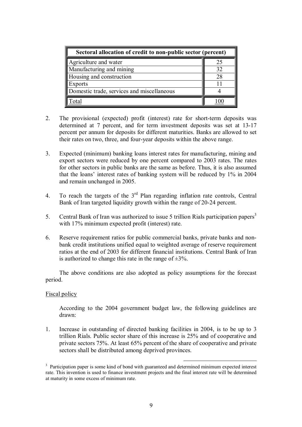| Sectoral allocation of credit to non-public sector (percent) |    |  |  |  |
|--------------------------------------------------------------|----|--|--|--|
| Agriculture and water                                        | 25 |  |  |  |
| Manufacturing and mining                                     | 32 |  |  |  |
| Housing and construction                                     | 28 |  |  |  |
| <b>Exports</b>                                               |    |  |  |  |
| Domestic trade, services and miscellaneous                   |    |  |  |  |
| าtal                                                         |    |  |  |  |

- 2. The provisional (expected) profit (interest) rate for short-term deposits was determined at 7 percent, and for term investment deposits was set at 13-17 percent per annum for deposits for different maturities. Banks are allowed to set their rates on two, three, and four-year deposits within the above range.
- 3. Expected (minimum) banking loans interest rates for manufacturing, mining and export sectors were reduced by one percent compared to 2003 rates. The rates for other sectors in public banks are the same as before. Thus, it is also assumed that the loans' interest rates of banking system will be reduced by 1% in 2004 and remain unchanged in 2005.
- 4. To reach the targets of the  $3<sup>rd</sup>$  Plan regarding inflation rate controls, Central Bank of Iran targeted liquidity growth within the range of 20-24 percent.
- 5. Central Bank of Iran was authorized to issue 5 trillion Rials participation papers<sup>3</sup> with 17% minimum expected profit (interest) rate.
- 6. Reserve requirement ratios for public commercial banks, private banks and nonbank credit institutions unified equal to weighted average of reserve requirement ratios at the end of 2003 for different financial institutions. Central Bank of Iran is authorized to change this rate in the range of  $\pm 3\%$ .

The above conditions are also adopted as policy assumptions for the forecast period.

### Fiscal policy

According to the 2004 government budget law, the following guidelines are drawn:

1. Increase in outstanding of directed banking facilities in 2004, is to be up to 3 trillion Rials. Public sector share of this increase is 25% and of cooperative and private sectors 75%. At least 65% percent of the share of cooperative and private sectors shall be distributed among deprived provinces.

<sup>&</sup>lt;sup>3</sup> Participation paper is some kind of bond with guaranteed and determined minimum expected interest rate. This invention is used to finance investment projects and the final interest rate will be determined at maturity in some excess of minimum rate.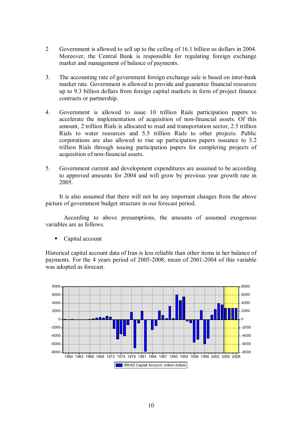- 2 Government is allowed to sell up to the ceiling of 16.1 billion us dollars in 2004. Moreover, the Central Bank is responsible for regulating foreign exchange market and management of balance of payments.
- 3. The accounting rate of government foreign exchange sale is based on inter-bank market rate. Government is allowed to provide and guarantee financial resources up to 9.3 billion dollars from foreign capital markets in form of project finance contracts or partnership.
- 4. Government is allowed to issue 10 trillion Rials participation papers to accelerate the implementation of acquisition of non-financial assets. Of this amount, 2 trillion Rials is allocated to road and transportation sector, 2.5 trillion Rials to water resources and 5.5 trillion Rials to other projects. Public corporations are also allowed to rise up participation papers issuance to 3.2 trillion Rials through issuing participation papers for completing projects of acquisition of non-financial assets.
- 5. Government current and development expenditures are assumed to be according to approved amounts for 2004 and will grow by previous year growth rate in 2005.

It is also assumed that there will not be any important changes from the above picture of government budget structure in our forecast period.

According to above presumptions, the amounts of assumed exogenous variables are as follows.

Capital account

Historical capital account data of Iran is less reliable than other items in her balance of payments. For the 4 years period of 2005-2008, mean of 2001-2004 of this variable was adopted as forecast.

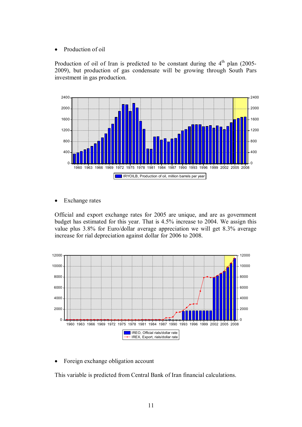• Production of oil

Production of oil of Iran is predicted to be constant during the  $4<sup>th</sup>$  plan (2005-2009), but production of gas condensate will be growing through South Pars investment in gas production.



• Exchange rates

Official and export exchange rates for 2005 are unique, and are as government budget has estimated for this year. That is 4.5% increase to 2004. We assign this value plus 3.8% for Euro/dollar average appreciation we will get 8.3% average increase for rial depreciation against dollar for 2006 to 2008.



• Foreign exchange obligation account

This variable is predicted from Central Bank of Iran financial calculations.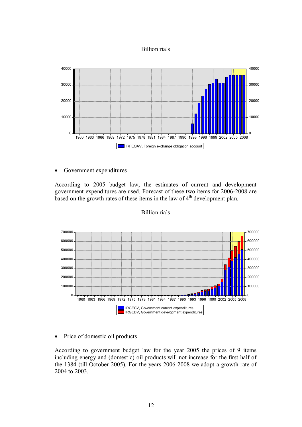# Billion rials



· Government expenditures

According to 2005 budget law, the estimates of current and development government expenditures are used. Forecast of these two items for 2006-2008 are based on the growth rates of these items in the law of  $4<sup>th</sup>$  development plan.



### Billion rials

• Price of domestic oil products

According to government budget law for the year 2005 the prices of 9 items including energy and (domestic) oil products will not increase for the first half of the 1384 (till October 2005). For the years 2006-2008 we adopt a growth rate of to 2003.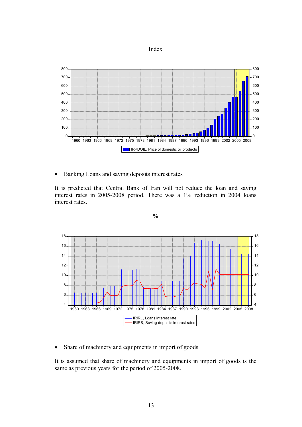



· Banking Loans and saving deposits interest rates

It is predicted that Central Bank of Iran will not reduce the loan and saving interest rates in 2005-2008 period. There was a 1% reduction in 2004 loans interest rates.

 $\frac{0}{0}$ 



• Share of machinery and equipments in import of goods

It is assumed that share of machinery and equipments in import of goods is the same as previous years for the period of 2005-2008.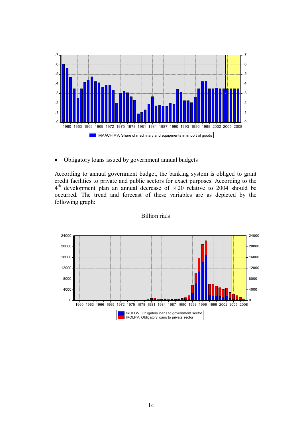

• Obligatory loans issued by government annual budgets

According to annual government budget, the banking system is obliged to grant credit facilities to private and public sectors for exact purposes. According to the 4<sup>th</sup> development plan an annual decrease of %20 relative to 2004 should be occurred. The trend and forecast of these variables are as depicted by the following graph:



Billion rials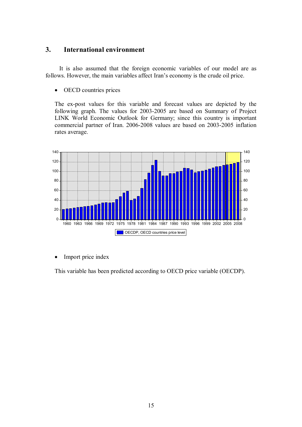# **3. International environment**

It is also assumed that the foreign economic variables of our model are as follows. However, the main variables affect Iran's economy is the crude oil price.

• OECD countries prices

The ex-post values for this variable and forecast values are depicted by the following graph. The values for 2003-2005 are based on Summary of Project LINK World Economic Outlook for Germany; since this country is important commercial partner of Iran. 2006-2008 values are based on 2003-2005 inflation rates average.



• Import price index

This variable has been predicted according to OECD price variable (OECDP).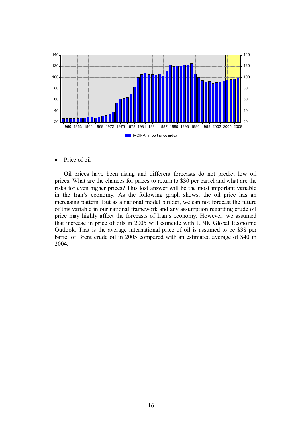

Price of oil

Oil prices have been rising and different forecasts do not predict low oil prices. What are the chances for prices to return to \$30 per barrel and what are the risks for even higher prices? This lost answer will be the most important variable in the Iran's economy. As the following graph shows, the oil price has an increasing pattern. But as a national model builder, we can not forecast the future of this variable in our national framework and any assumption regarding crude oil price may highly affect the forecasts of Iran's economy. However, we assumed that increase in price of oils in 2005 will coincide with LINK Global Economic Outlook. That is the average international price of oil is assumed to be \$38 per barrel of Brent crude oil in 2005 compared with an estimated average of \$40 in 2004.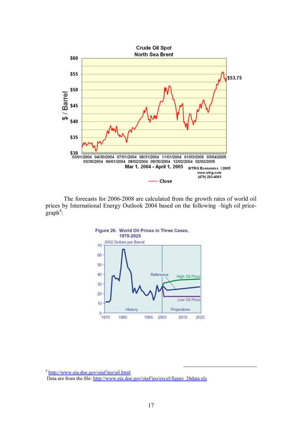

The forecasts for 2006-2008 are calculated from the growth rates of world oil prices by International Energy Outlook 2004 based on the following –high oil price $graph^4$ :



<sup>4</sup> <http://www.eia.doe.gov/oiaf/ieo/oil.html> Data are from the file: [http://www.eia.doe.gov/oiaf/ieo/excel/figure\\_26data.xls](http://www.eia.doe.gov/oiaf/ieo/excel/figure_26data.xls)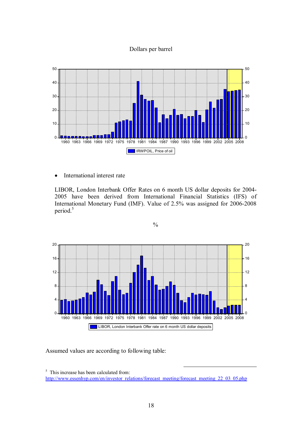# Dollars per barrel



• International interest rate

LIBOR, London Interbank Offer Rates on 6 month US dollar deposits for 2004- have been derived from International Financial Statistics (IFS) of International Monetary Fund (IMF). Value of 2.5% was assigned for 2006-2008 period.<sup>5</sup>

 $\frac{0}{0}$ 



Assumed values are according to following table:

<sup>&</sup>lt;sup>5</sup> This increase has been calculated from: [http://www.essenhyp.com/en/investor\\_relations/forecast\\_meeting/forecast\\_meeting\\_22\\_03\\_05.php](http://www.essenhyp.com/en/investor_relations/forecast_meeting/forecast_meeting_22_03_05.php)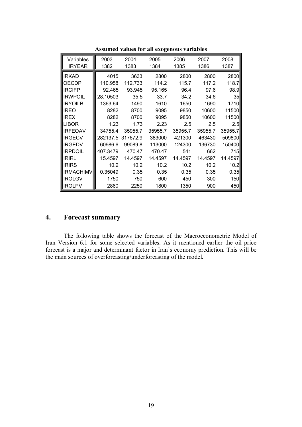| Variables<br><b>IRYEAR</b> | 2003<br>1382 | 2004<br>1383 | 2005<br>1384 | 2006<br>1385 | 2007<br>1386 | 2008<br>1387 |
|----------------------------|--------------|--------------|--------------|--------------|--------------|--------------|
|                            |              |              |              |              |              |              |
| <b>IRKAD</b>               | 4015         | 3633         | 2800         | 2800         | 2800         | 2800         |
| OECDP                      | 110.958      | 112.733      | 114.2        | 115.7        | 117.2        | 118.7        |
| <b>IRCIFP</b>              | 92.465       | 93.945       | 95.165       | 96.4         | 97.6         | 98.9         |
| <b>IRWPOIL</b>             | 28.10503     | 35.5         | 33.7         | 34.2         | 34.6         | 35           |
| <b>IRYOILB</b>             | 1363.64      | 1490         | 1610         | 1650         | 1690         | 1710         |
| IREO                       | 8282         | 8700         | 9095         | 9850         | 10600        | 11500        |
| <b>IREX</b>                | 8282         | 8700         | 9095         | 9850         | 10600        | 11500        |
| LIBOR                      | 1.23         | 1.73         | 2.23         | 2.5          | 2.5          | 2.5          |
| <b>IRFEOAV</b>             | 34755.4      | 35955.7      | 35955.7      | 35955.7      | 35955.7      | 35955.7      |
| <b>IRGECV</b>              | 282137.5     | 317672.9     | 383000       | 421300       | 463430       | 509800       |
| <b>IRGEDV</b>              | 60986.6      | 99089.8      | 113000       | 124300       | 136730       | 150400       |
| <b>IRPDOIL</b>             | 407.3479     | 470.47       | 470.47       | 541          | 662          | 715          |
| <b>IRIRL</b>               | 15.4597      | 14.4597      | 14.4597      | 14.4597      | 14.4597      | 14.4597      |
| <b>IRIRS</b>               | 10.2         | 10.2         | 10.2         | 10.2         | 10.2         | 10.2         |
| <b>IRMACHIMV</b>           | 0.35049      | 0.35         | 0.35         | 0.35         | 0.35         | 0.35         |
| <b>IROLGV</b>              | 1750         | 750          | 600          | 450          | 300          | 150          |
| IIROLPV                    | 2860         | 2250         | 1800         | 1350         | 900          | 450          |

**Assumed values for all exogenous variables** 

# **4. Forecast summary**

The following table shows the forecast of the Macroeconometric Model of Iran Version 6.1 for some selected variables. As it mentioned earlier the oil price forecast is a major and determinant factor in Iran's economy prediction. This will be the main sources of overforcasting/underforcasting of the model.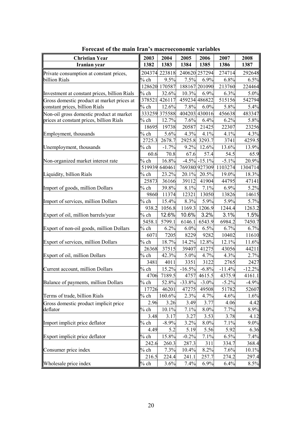| <b>Christian Year</b>                        |         | 2004          | 2005     | 2006             | 2007     | 2008     |
|----------------------------------------------|---------|---------------|----------|------------------|----------|----------|
| Iranian year                                 | 1382    | 1383          | 1384     | 1385             | 1386     | 1387     |
| Private consumption at constant prices,      |         | 204374 223818 |          | 240620 257294    | 274714   | 292648   |
| billion Rials                                | $%$ ch  | 9.5%          | 7.5%     | 6.9%             | 6.8%     | 6.5%     |
|                                              |         | 128620 170587 |          | 188167 201090    | 213760   | 224464   |
| Investment at constant prices, billion Rials | $%$ ch  | 32.6%         | 10.3%    | 6.9%             | 6.3%     | 5.0%     |
| Gross domestic product at market prices at   | 378521  | 426117        |          | 459234 486822    | 515156   | 542794   |
| constant prices, billion Rials               | $%$ ch  | 12.6%         | 7.8%     | 6.0%             | 5.8%     | 5.4%     |
| Non-oil gross domestic product at market     | 333259  | 375588        |          | 404203 430016    | 456638   | 483347   |
| prices at constant prices, billion Rials     | $%$ ch  | 12.7%         | 7.6%     | 6.4%             | 6.2%     | 5.8%     |
|                                              | 18695   | 19738         | 20587    | 21425            | 22307    | 23256    |
| Employment, thousands                        | $%$ ch  | 5.6%          | 4.3%     | 4.1%             | 4.1%     | 4.3%     |
|                                              | 2725.3  | 2678.7        | 2925.8   | 3293.7           | 3741     | 4259.5   |
| Unemployment, thousands                      | % ch    | $-1.7%$       | 9.2%     | 12.6%            | 13.6%    | 13.9%    |
|                                              | 60.6    | 70.8          | 67.6     | 57.4             | 54.5     | 65.9     |
| Non-organized market interest rate           | $%$ ch  | 16.8%         |          | $-4.5\% -15.1\%$ | $-5.1%$  | 20.9%    |
|                                              | 519939  | 640461        |          | 769380 927309    | 1103274  | 1304714  |
| Liquidity, billion Rials                     | $\%$ ch | 23.2%         | 20.1%    | 20.5%            | 19.0%    | 18.3%    |
|                                              | 25873   | 36166         | 39112    | 41904            | 44795    | 47141    |
| Import of goods, million Dollars             | $%$ ch  | 39.8%         | 8.1%     | 7.1%             | 6.9%     | 5.2%     |
|                                              | 9860    | 11374         | 12321    | 13050            | 13826    | 14615    |
| Import of services, million Dollars          | $%$ ch  | 15.4%         | 8.3%     | 5.9%             | 5.9%     | 5.7%     |
|                                              | 938.2   | 1056.8        | 1169.3   | 1206.9           | 1244.4   | 1263.2   |
| Export of oil, million barrels/year          | $%$ ch  | 12.6%         | 10.6%    | 3.2%             | 3.1%     | 1.5%     |
|                                              | 5458.1  | 5799.1        | 6146.1   | 6543.9           | 6984.2   | 7450.7   |
| Export of non-oil goods, million Dollars     | $%$ ch  | 6.2%          | 6.0%     | 6.5%             | 6.7%     | 6.7%     |
|                                              | 6071    | 7205          | 8229     | 9282             | 10402    | 11610    |
| Export of services, million Dollars          | $%$ ch  | 18.7%         | 14.2%    | 12.8%            | 12.1%    | 11.6%    |
|                                              | 26368   | 37515         | 39407    | 41275            | 43056    | 44211    |
| Export of oil, million Dollars               | $%$ ch  | 42.3%         | 5.0%     | 4.7%             | 4.3%     | 2.7%     |
|                                              | 3481    | 4011          | 3351     | 3122             | 2765     | 2427     |
| Current account, million Dollars             | $%$ ch  | 15.2%         | $-16.5%$ | $-6.8%$          | $-11.4%$ | $-12.2%$ |
|                                              | 4706    | 7189.5        | 4757     | 4615.5           | 4375.9   | 4161.1   |
| Balance of payments, million Dollars         | % ch    | 52.8%         | $-33.8%$ | $-3.0\%$         | $-5.2\%$ | $-4.9\%$ |
|                                              | 17726   | 46201         | 47275    | 49508            | 51782    | 52607    |
| Terms of trade, billion Rials                | $\%$ ch | 160.6%        | 2.3%     | 4.7%             | 4.6%     | 1.6%     |
| Gross domestic product implicit price        | 2.96    | 3.26          | 3.49     | 3.77             | 4.06     | 4.42     |
| deflator                                     | $%$ ch  | 10.1%         | 7.1%     | 8.0%             | 7.7%     | 8.9%     |
|                                              | 3.48    | 3.17          | 3.27     | 3.53             | 3.78     | 4.12     |
| Import implicit price deflator               | % ch    | $-8.9%$       | 3.2%     | 8.0%             | 7.1%     | $9.0\%$  |
|                                              | 4.49    | 5.2           | 5.19     | 5.56             | 5.92     | 6.36     |
| Export implicit price deflator               | $%$ ch  | 15.8%         | $-0.2%$  | 7.1%             | 6.5%     | 7.4%     |
|                                              | 242.6   | 260.3         | 287.3    | 311              | 334.7    | 368.4    |
| Consumer price index                         | $%$ ch  | 7.3%          | 10.4%    | 8.2%             | 7.6%     | $10.1\%$ |
|                                              | 216.5   | 224.4         | 241.1    | 257.7            | 274.2    | 297.4    |
| Wholesale price index                        | $%$ ch  | 3.6%          | 7.4%     | 6.9%             | 6.4%     | 8.5%     |

**Forecast of the main Iran's macroeconomic variables**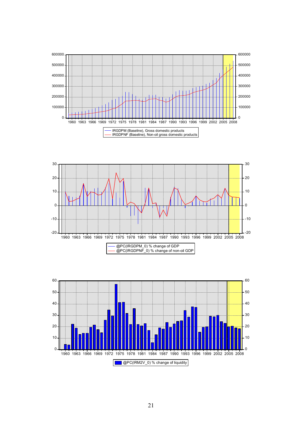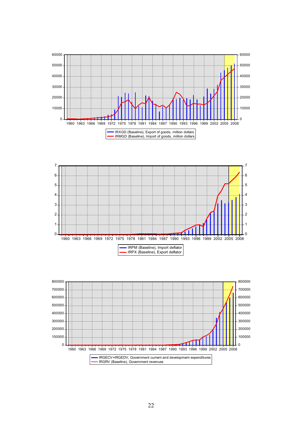